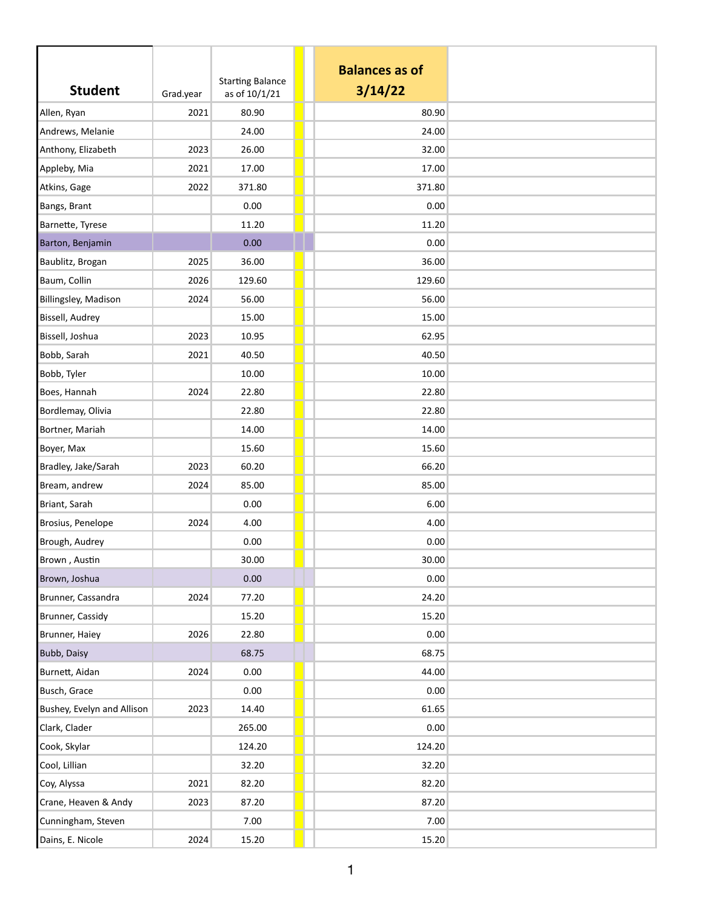| <b>Student</b>             | Grad.year | <b>Starting Balance</b><br>as of 10/1/21 | <b>Balances as of</b><br>3/14/22 |  |
|----------------------------|-----------|------------------------------------------|----------------------------------|--|
| Allen, Ryan                | 2021      | 80.90                                    | 80.90                            |  |
| Andrews, Melanie           |           | 24.00                                    | 24.00                            |  |
| Anthony, Elizabeth         | 2023      | 26.00                                    | 32.00                            |  |
| Appleby, Mia               | 2021      | 17.00                                    | 17.00                            |  |
| Atkins, Gage               | 2022      | 371.80                                   | 371.80                           |  |
| Bangs, Brant               |           | 0.00                                     | 0.00                             |  |
| Barnette, Tyrese           |           | 11.20                                    | 11.20                            |  |
| Barton, Benjamin           |           | 0.00                                     | 0.00                             |  |
| Baublitz, Brogan           | 2025      | 36.00                                    | 36.00                            |  |
| Baum, Collin               | 2026      | 129.60                                   | 129.60                           |  |
| Billingsley, Madison       | 2024      | 56.00                                    | 56.00                            |  |
| Bissell, Audrey            |           | 15.00                                    | 15.00                            |  |
| Bissell, Joshua            | 2023      | 10.95                                    | 62.95                            |  |
| Bobb, Sarah                | 2021      | 40.50                                    | 40.50                            |  |
| Bobb, Tyler                |           | 10.00                                    | 10.00                            |  |
| Boes, Hannah               | 2024      | 22.80                                    | 22.80                            |  |
| Bordlemay, Olivia          |           | 22.80                                    | 22.80                            |  |
| Bortner, Mariah            |           | 14.00                                    | 14.00                            |  |
| Boyer, Max                 |           | 15.60                                    | 15.60                            |  |
| Bradley, Jake/Sarah        | 2023      | 60.20                                    | 66.20                            |  |
| Bream, andrew              | 2024      | 85.00                                    | 85.00                            |  |
| Briant, Sarah              |           | 0.00                                     | 6.00                             |  |
| Brosius, Penelope          | 2024      | 4.00                                     | 4.00                             |  |
| Brough, Audrey             |           | 0.00                                     | 0.00                             |  |
| Brown, Austin              |           | 30.00                                    | 30.00                            |  |
| Brown, Joshua              |           | 0.00                                     | 0.00                             |  |
| Brunner, Cassandra         | 2024      | 77.20                                    | 24.20                            |  |
| Brunner, Cassidy           |           | 15.20                                    | 15.20                            |  |
| Brunner, Haiey             | 2026      | 22.80                                    | 0.00                             |  |
| Bubb, Daisy                |           | 68.75                                    | 68.75                            |  |
| Burnett, Aidan             | 2024      | 0.00                                     | 44.00                            |  |
| Busch, Grace               |           | 0.00                                     | 0.00                             |  |
| Bushey, Evelyn and Allison | 2023      | 14.40                                    | 61.65                            |  |
| Clark, Clader              |           | 265.00                                   | 0.00                             |  |
| Cook, Skylar               |           | 124.20                                   | 124.20                           |  |
| Cool, Lillian              |           | 32.20                                    | 32.20                            |  |
| Coy, Alyssa                | 2021      | 82.20                                    | 82.20                            |  |
| Crane, Heaven & Andy       | 2023      | 87.20                                    | 87.20                            |  |
| Cunningham, Steven         |           | 7.00                                     | 7.00                             |  |
| Dains, E. Nicole           | 2024      | 15.20                                    | 15.20                            |  |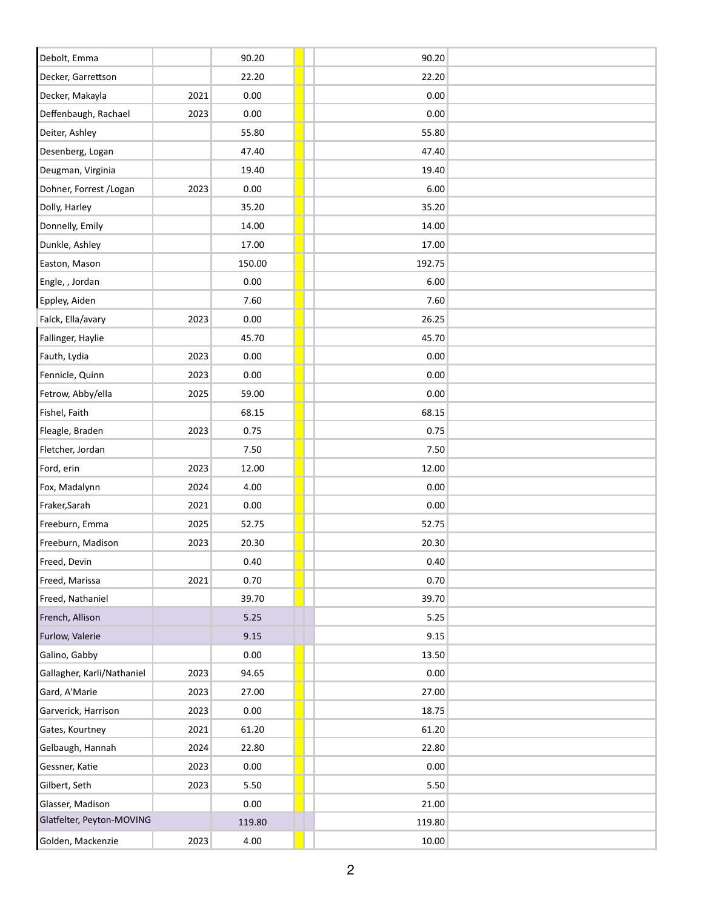| Debolt, Emma               |      | 90.20    | 90.20  |
|----------------------------|------|----------|--------|
| Decker, Garrettson         |      | 22.20    | 22.20  |
| Decker, Makayla            | 2021 | 0.00     | 0.00   |
| Deffenbaugh, Rachael       | 2023 | 0.00     | 0.00   |
| Deiter, Ashley             |      | 55.80    | 55.80  |
| Desenberg, Logan           |      | 47.40    | 47.40  |
| Deugman, Virginia          |      | 19.40    | 19.40  |
| Dohner, Forrest / Logan    | 2023 | 0.00     | 6.00   |
| Dolly, Harley              |      | 35.20    | 35.20  |
| Donnelly, Emily            |      | 14.00    | 14.00  |
| Dunkle, Ashley             |      | 17.00    | 17.00  |
| Easton, Mason              |      | 150.00   | 192.75 |
| Engle, , Jordan            |      | 0.00     | 6.00   |
| Eppley, Aiden              |      | 7.60     | 7.60   |
| Falck, Ella/avary          | 2023 | 0.00     | 26.25  |
| Fallinger, Haylie          |      | 45.70    | 45.70  |
| Fauth, Lydia               | 2023 | 0.00     | 0.00   |
| Fennicle, Quinn            | 2023 | 0.00     | 0.00   |
| Fetrow, Abby/ella          | 2025 | 59.00    | 0.00   |
| Fishel, Faith              |      | 68.15    | 68.15  |
| Fleagle, Braden            | 2023 | 0.75     | 0.75   |
| Fletcher, Jordan           |      | 7.50     | 7.50   |
| Ford, erin                 | 2023 | 12.00    | 12.00  |
| Fox, Madalynn              | 2024 | 4.00     | 0.00   |
| Fraker, Sarah              | 2021 | 0.00     | 0.00   |
| Freeburn, Emma             | 2025 | 52.75    | 52.75  |
| Freeburn, Madison          | 2023 | 20.30    | 20.30  |
| Freed, Devin               |      | 0.40     | 0.40   |
| Freed, Marissa             | 2021 | 0.70     | 0.70   |
| Freed, Nathaniel           |      | 39.70    | 39.70  |
| French, Allison            |      | 5.25     | 5.25   |
| Furlow, Valerie            |      | 9.15     | 9.15   |
| Galino, Gabby              |      | 0.00     | 13.50  |
| Gallagher, Karli/Nathaniel | 2023 | 94.65    | 0.00   |
| Gard, A'Marie              | 2023 | 27.00    | 27.00  |
| Garverick, Harrison        | 2023 | 0.00     | 18.75  |
| Gates, Kourtney            | 2021 | 61.20    | 61.20  |
| Gelbaugh, Hannah           | 2024 | 22.80    | 22.80  |
| Gessner, Katie             | 2023 | $0.00\,$ | 0.00   |
| Gilbert, Seth              | 2023 | 5.50     | 5.50   |
| Glasser, Madison           |      | 0.00     | 21.00  |
| Glatfelter, Peyton-MOVING  |      | 119.80   | 119.80 |
| Golden, Mackenzie          | 2023 | 4.00     | 10.00  |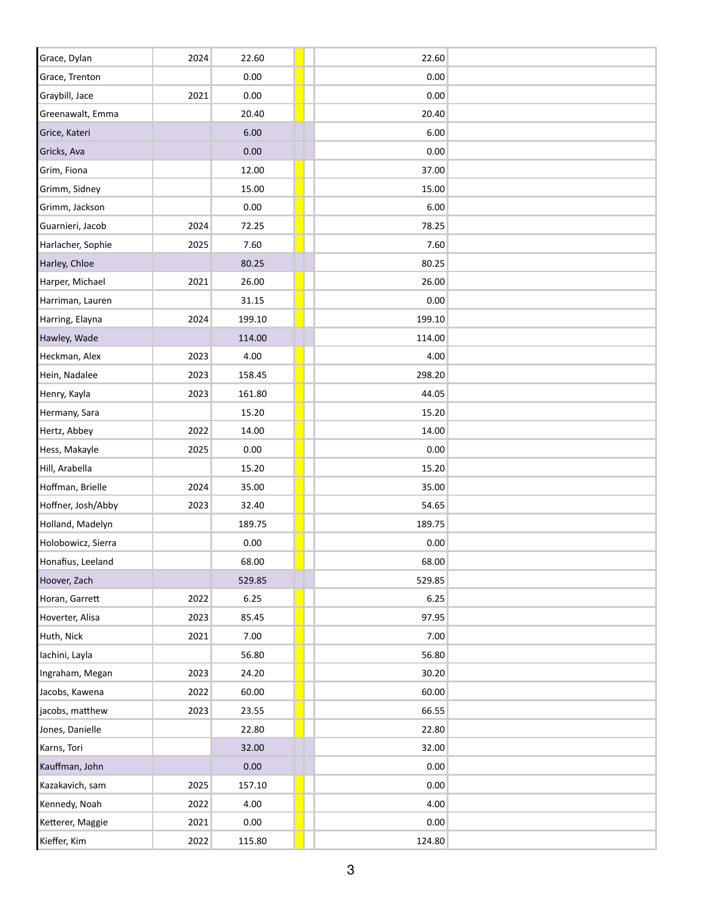| Grace, Dylan       | 2024 | 22.60  | 22.60  |  |
|--------------------|------|--------|--------|--|
| Grace, Trenton     |      | 0.00   | 0.00   |  |
| Graybill, Jace     | 2021 | 0.00   | 0.00   |  |
| Greenawalt, Emma   |      | 20.40  | 20.40  |  |
| Grice, Kateri      |      | 6.00   | 6.00   |  |
| Gricks, Ava        |      | 0.00   | 0.00   |  |
| Grim, Fiona        |      | 12.00  | 37.00  |  |
| Grimm, Sidney      |      | 15.00  | 15.00  |  |
| Grimm, Jackson     |      | 0.00   | 6.00   |  |
| Guarnieri, Jacob   | 2024 | 72.25  | 78.25  |  |
| Harlacher, Sophie  | 2025 | 7.60   | 7.60   |  |
| Harley, Chloe      |      | 80.25  | 80.25  |  |
| Harper, Michael    | 2021 | 26.00  | 26.00  |  |
| Harriman, Lauren   |      | 31.15  | 0.00   |  |
| Harring, Elayna    | 2024 | 199.10 | 199.10 |  |
| Hawley, Wade       |      | 114.00 | 114.00 |  |
| Heckman, Alex      | 2023 | 4.00   | 4.00   |  |
| Hein, Nadalee      | 2023 | 158.45 | 298.20 |  |
| Henry, Kayla       | 2023 | 161.80 | 44.05  |  |
| Hermany, Sara      |      | 15.20  | 15.20  |  |
| Hertz, Abbey       | 2022 | 14.00  | 14.00  |  |
| Hess, Makayle      | 2025 | 0.00   | 0.00   |  |
| Hill, Arabella     |      | 15.20  | 15.20  |  |
| Hoffman, Brielle   | 2024 | 35.00  | 35.00  |  |
| Hoffner, Josh/Abby | 2023 | 32.40  | 54.65  |  |
| Holland, Madelyn   |      | 189.75 | 189.75 |  |
| Holobowicz, Sierra |      | 0.00   | 0.00   |  |
| Honafius, Leeland  |      | 68.00  | 68.00  |  |
| Hoover, Zach       |      | 529.85 | 529.85 |  |
| Horan, Garrett     | 2022 | 6.25   | 6.25   |  |
| Hoverter, Alisa    | 2023 | 85.45  | 97.95  |  |
| Huth, Nick         | 2021 | 7.00   | 7.00   |  |
| Iachini, Layla     |      | 56.80  | 56.80  |  |
| Ingraham, Megan    | 2023 | 24.20  | 30.20  |  |
| Jacobs, Kawena     | 2022 | 60.00  | 60.00  |  |
| jacobs, matthew    | 2023 | 23.55  | 66.55  |  |
| Jones, Danielle    |      | 22.80  | 22.80  |  |
| Karns, Tori        |      | 32.00  | 32.00  |  |
| Kauffman, John     |      | 0.00   | 0.00   |  |
| Kazakavich, sam    | 2025 | 157.10 | 0.00   |  |
| Kennedy, Noah      | 2022 | 4.00   | 4.00   |  |
| Ketterer, Maggie   | 2021 | 0.00   | 0.00   |  |
| Kieffer, Kim       | 2022 | 115.80 | 124.80 |  |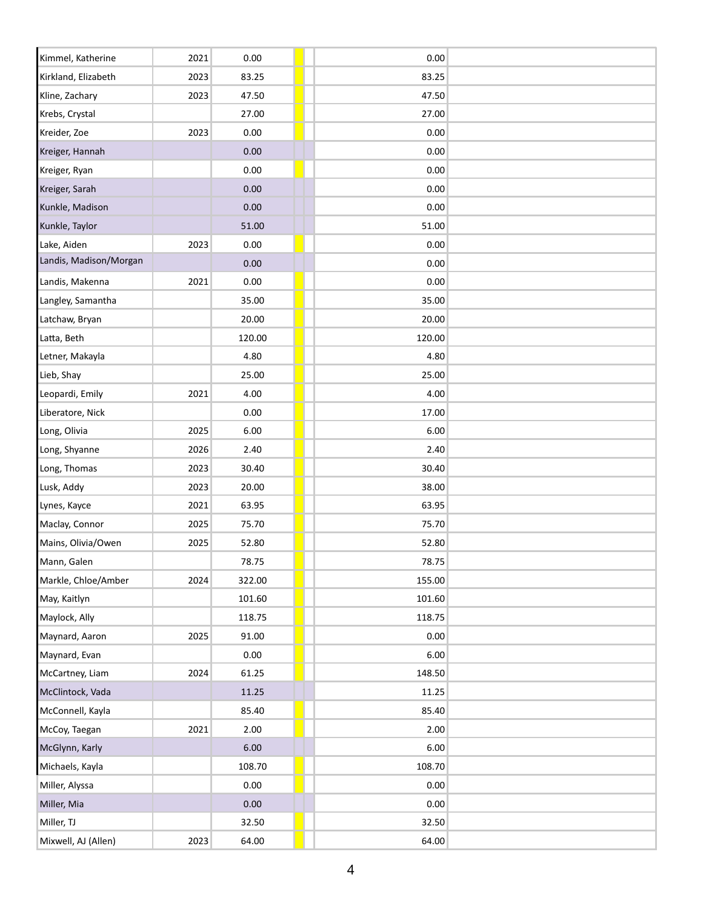| Kimmel, Katherine             | 2021 | 0.00   | 0.00   |  |
|-------------------------------|------|--------|--------|--|
| Kirkland, Elizabeth           | 2023 | 83.25  | 83.25  |  |
| Kline, Zachary                | 2023 | 47.50  | 47.50  |  |
| Krebs, Crystal                |      | 27.00  | 27.00  |  |
| Kreider, Zoe                  | 2023 | 0.00   | 0.00   |  |
| Kreiger, Hannah               |      | 0.00   | 0.00   |  |
| Kreiger, Ryan                 |      | 0.00   | 0.00   |  |
| Kreiger, Sarah                |      | 0.00   | 0.00   |  |
| Kunkle, Madison               |      | 0.00   | 0.00   |  |
| Kunkle, Taylor                |      | 51.00  | 51.00  |  |
| Lake, Aiden                   | 2023 | 0.00   | 0.00   |  |
| Landis, Madison/Morgan        |      | 0.00   | 0.00   |  |
| Landis, Makenna               | 2021 | 0.00   | 0.00   |  |
| Langley, Samantha             |      | 35.00  | 35.00  |  |
|                               |      | 20.00  | 20.00  |  |
| Latchaw, Bryan                |      | 120.00 | 120.00 |  |
| Latta, Beth                   |      | 4.80   | 4.80   |  |
| Letner, Makayla<br>Lieb, Shay |      | 25.00  | 25.00  |  |
|                               |      |        |        |  |
| Leopardi, Emily               | 2021 | 4.00   | 4.00   |  |
| Liberatore, Nick              |      | 0.00   | 17.00  |  |
| Long, Olivia                  | 2025 | 6.00   | 6.00   |  |
| Long, Shyanne                 | 2026 | 2.40   | 2.40   |  |
| Long, Thomas                  | 2023 | 30.40  | 30.40  |  |
| Lusk, Addy                    | 2023 | 20.00  | 38.00  |  |
| Lynes, Kayce                  | 2021 | 63.95  | 63.95  |  |
| Maclay, Connor                | 2025 | 75.70  | 75.70  |  |
| Mains, Olivia/Owen            | 2025 | 52.80  | 52.80  |  |
| Mann, Galen                   |      | 78.75  | 78.75  |  |
| Markle, Chloe/Amber           | 2024 | 322.00 | 155.00 |  |
| May, Kaitlyn                  |      | 101.60 | 101.60 |  |
| Maylock, Ally                 |      | 118.75 | 118.75 |  |
| Maynard, Aaron                | 2025 | 91.00  | 0.00   |  |
| Maynard, Evan                 |      | 0.00   | 6.00   |  |
| McCartney, Liam               | 2024 | 61.25  | 148.50 |  |
| McClintock, Vada              |      | 11.25  | 11.25  |  |
| McConnell, Kayla              |      | 85.40  | 85.40  |  |
| McCoy, Taegan                 | 2021 | 2.00   | 2.00   |  |
| McGlynn, Karly                |      | 6.00   | 6.00   |  |
| Michaels, Kayla               |      | 108.70 | 108.70 |  |
| Miller, Alyssa                |      | 0.00   | 0.00   |  |
| Miller, Mia                   |      | 0.00   | 0.00   |  |
| Miller, TJ                    |      | 32.50  | 32.50  |  |
| Mixwell, AJ (Allen)           | 2023 | 64.00  | 64.00  |  |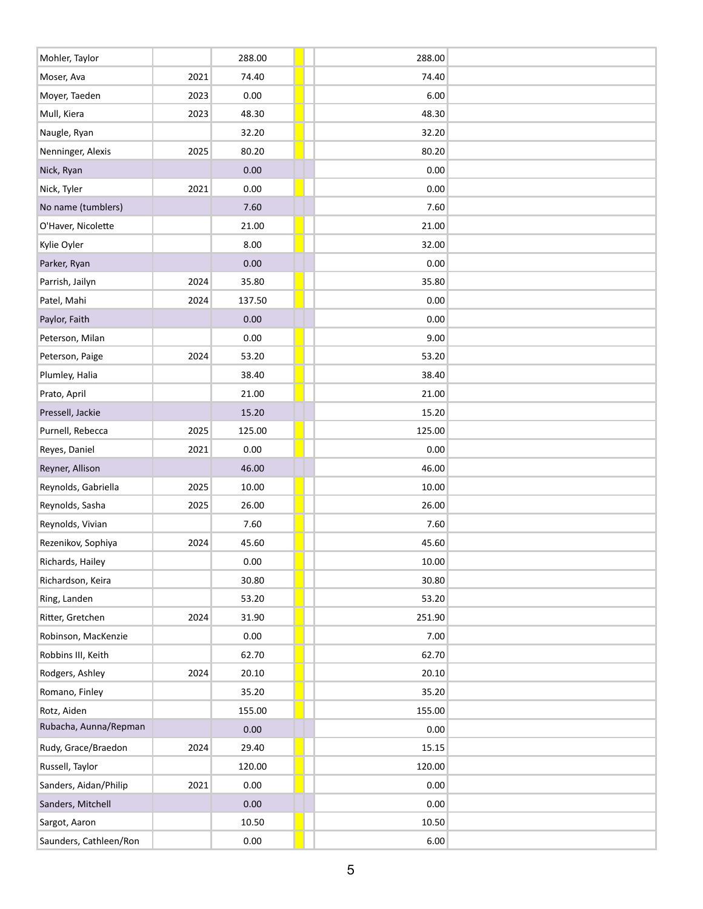| Mohler, Taylor         |      | 288.00   | 288.00 |  |
|------------------------|------|----------|--------|--|
| Moser, Ava             | 2021 | 74.40    | 74.40  |  |
| Moyer, Taeden          | 2023 | 0.00     | 6.00   |  |
| Mull, Kiera            | 2023 | 48.30    | 48.30  |  |
| Naugle, Ryan           |      | 32.20    | 32.20  |  |
| Nenninger, Alexis      | 2025 | 80.20    | 80.20  |  |
| Nick, Ryan             |      | 0.00     | 0.00   |  |
| Nick, Tyler            | 2021 | 0.00     | 0.00   |  |
| No name (tumblers)     |      | 7.60     | 7.60   |  |
| O'Haver, Nicolette     |      | 21.00    | 21.00  |  |
| Kylie Oyler            |      | 8.00     | 32.00  |  |
| Parker, Ryan           |      | $0.00\,$ | 0.00   |  |
| Parrish, Jailyn        | 2024 | 35.80    | 35.80  |  |
| Patel, Mahi            | 2024 | 137.50   | 0.00   |  |
| Paylor, Faith          |      | 0.00     | 0.00   |  |
| Peterson, Milan        |      | 0.00     | 9.00   |  |
| Peterson, Paige        | 2024 | 53.20    | 53.20  |  |
| Plumley, Halia         |      | 38.40    | 38.40  |  |
| Prato, April           |      | 21.00    | 21.00  |  |
| Pressell, Jackie       |      | 15.20    | 15.20  |  |
| Purnell, Rebecca       | 2025 | 125.00   | 125.00 |  |
| Reyes, Daniel          | 2021 | 0.00     | 0.00   |  |
| Reyner, Allison        |      | 46.00    | 46.00  |  |
| Reynolds, Gabriella    | 2025 | 10.00    | 10.00  |  |
| Reynolds, Sasha        | 2025 | 26.00    | 26.00  |  |
| Reynolds, Vivian       |      | 7.60     | 7.60   |  |
| Rezenikov, Sophiya     | 2024 | 45.60    | 45.60  |  |
| Richards, Hailey       |      | $0.00\,$ | 10.00  |  |
| Richardson, Keira      |      | 30.80    | 30.80  |  |
| Ring, Landen           |      | 53.20    | 53.20  |  |
| Ritter, Gretchen       | 2024 | 31.90    | 251.90 |  |
| Robinson, MacKenzie    |      | $0.00\,$ | 7.00   |  |
| Robbins III, Keith     |      | 62.70    | 62.70  |  |
| Rodgers, Ashley        | 2024 | 20.10    | 20.10  |  |
| Romano, Finley         |      | 35.20    | 35.20  |  |
| Rotz, Aiden            |      | 155.00   | 155.00 |  |
| Rubacha, Aunna/Repman  |      | 0.00     | 0.00   |  |
| Rudy, Grace/Braedon    | 2024 | 29.40    | 15.15  |  |
| Russell, Taylor        |      | 120.00   | 120.00 |  |
| Sanders, Aidan/Philip  | 2021 | 0.00     | 0.00   |  |
| Sanders, Mitchell      |      | 0.00     | 0.00   |  |
| Sargot, Aaron          |      | 10.50    | 10.50  |  |
| Saunders, Cathleen/Ron |      | $0.00\,$ | 6.00   |  |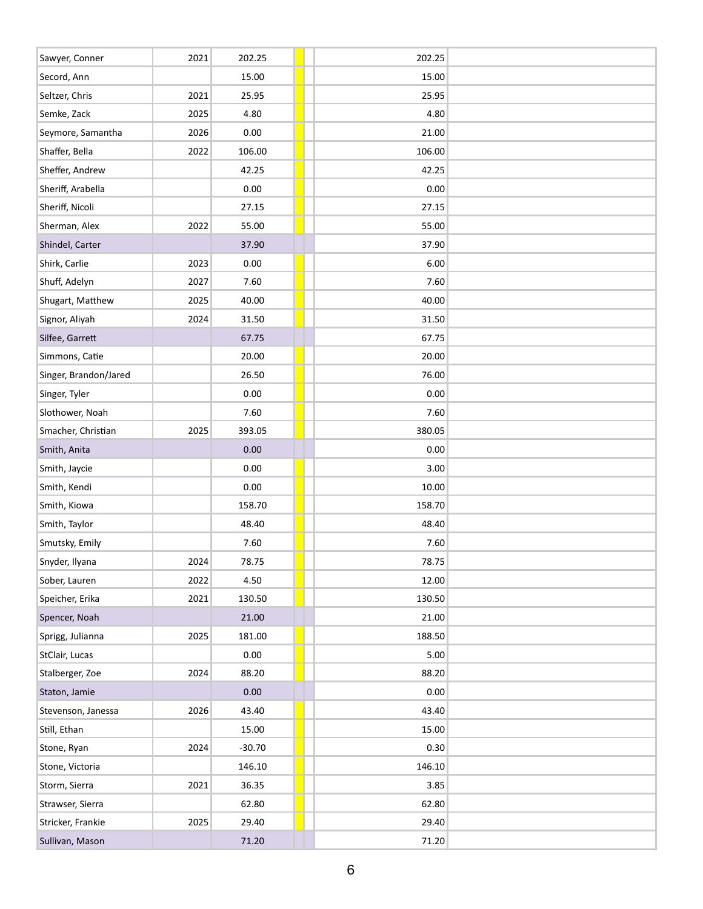| Sawyer, Conner        | 2021 | 202.25   | 202.25 |
|-----------------------|------|----------|--------|
| Secord, Ann           |      | 15.00    | 15.00  |
| Seltzer, Chris        | 2021 | 25.95    | 25.95  |
| Semke, Zack           | 2025 | 4.80     | 4.80   |
| Seymore, Samantha     | 2026 | 0.00     | 21.00  |
| Shaffer, Bella        | 2022 | 106.00   | 106.00 |
| Sheffer, Andrew       |      | 42.25    | 42.25  |
| Sheriff, Arabella     |      | 0.00     | 0.00   |
| Sheriff, Nicoli       |      | 27.15    | 27.15  |
| Sherman, Alex         | 2022 | 55.00    | 55.00  |
| Shindel, Carter       |      | 37.90    | 37.90  |
| Shirk, Carlie         | 2023 | 0.00     | 6.00   |
| Shuff, Adelyn         | 2027 | 7.60     | 7.60   |
| Shugart, Matthew      | 2025 | 40.00    | 40.00  |
| Signor, Aliyah        | 2024 | 31.50    | 31.50  |
| Silfee, Garrett       |      | 67.75    | 67.75  |
| Simmons, Catie        |      | 20.00    | 20.00  |
| Singer, Brandon/Jared |      | 26.50    | 76.00  |
| Singer, Tyler         |      | 0.00     | 0.00   |
| Slothower, Noah       |      | 7.60     | 7.60   |
| Smacher, Christian    | 2025 | 393.05   | 380.05 |
| Smith, Anita          |      | 0.00     | 0.00   |
| Smith, Jaycie         |      | 0.00     | 3.00   |
| Smith, Kendi          |      | 0.00     | 10.00  |
| Smith, Kiowa          |      | 158.70   | 158.70 |
| Smith, Taylor         |      | 48.40    | 48.40  |
| Smutsky, Emily        |      | 7.60     | 7.60   |
| Snyder, Ilyana        | 2024 | 78.75    | 78.75  |
| Sober, Lauren         | 2022 | 4.50     | 12.00  |
| Speicher, Erika       | 2021 | 130.50   | 130.50 |
| Spencer, Noah         |      | 21.00    | 21.00  |
| Sprigg, Julianna      | 2025 | 181.00   | 188.50 |
| StClair, Lucas        |      | 0.00     | $5.00$ |
| Stalberger, Zoe       | 2024 | 88.20    | 88.20  |
| Staton, Jamie         |      | $0.00\,$ | 0.00   |
| Stevenson, Janessa    | 2026 | 43.40    | 43.40  |
| Still, Ethan          |      | 15.00    | 15.00  |
| Stone, Ryan           | 2024 | $-30.70$ | 0.30   |
| Stone, Victoria       |      | 146.10   | 146.10 |
| Storm, Sierra         | 2021 | 36.35    | 3.85   |
| Strawser, Sierra      |      | 62.80    | 62.80  |
| Stricker, Frankie     | 2025 | 29.40    | 29.40  |
| Sullivan, Mason       |      | 71.20    | 71.20  |